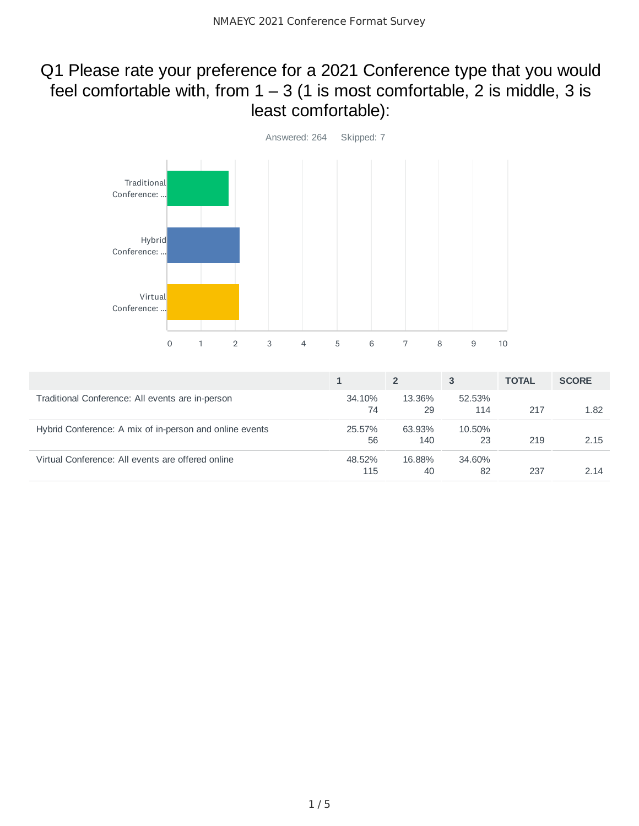# Q1 Please rate your preference for a 2021 Conference type that you would feel comfortable with, from  $1 - 3$  (1 is most comfortable, 2 is middle, 3 is least comfortable):



|                                                         |               |               | 3             | <b>TOTAL</b> | <b>SCORE</b> |
|---------------------------------------------------------|---------------|---------------|---------------|--------------|--------------|
| Traditional Conference: All events are in-person        | 34.10%<br>74  | 13.36%<br>29  | 52.53%<br>114 | 217          | 1.82         |
| Hybrid Conference: A mix of in-person and online events | 25.57%<br>56  | 63.93%<br>140 | 10.50%<br>23  | 219          | 2.15         |
| Virtual Conference: All events are offered online       | 48.52%<br>115 | 16.88%<br>40  | 34.60%<br>82  | 237          | 2.14         |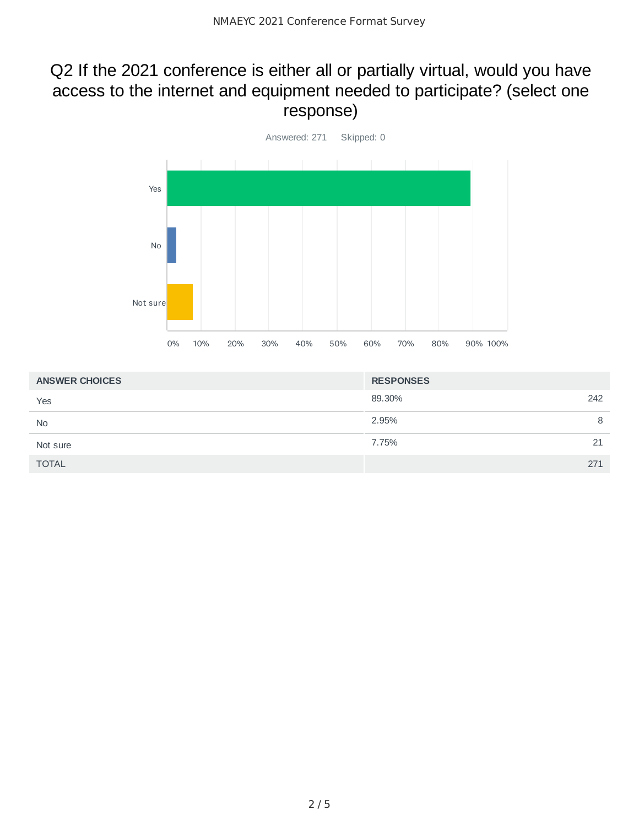### Q2 If the 2021 conference is either all or partially virtual, would you have access to the internet and equipment needed to participate? (select one response)



| <b>ANSWER CHOICES</b> | <b>RESPONSES</b> |
|-----------------------|------------------|
| Yes                   | 89.30%<br>242    |
| <b>No</b>             | 2.95%<br>8       |
| Not sure              | 7.75%<br>21      |
| <b>TOTAL</b>          | 271              |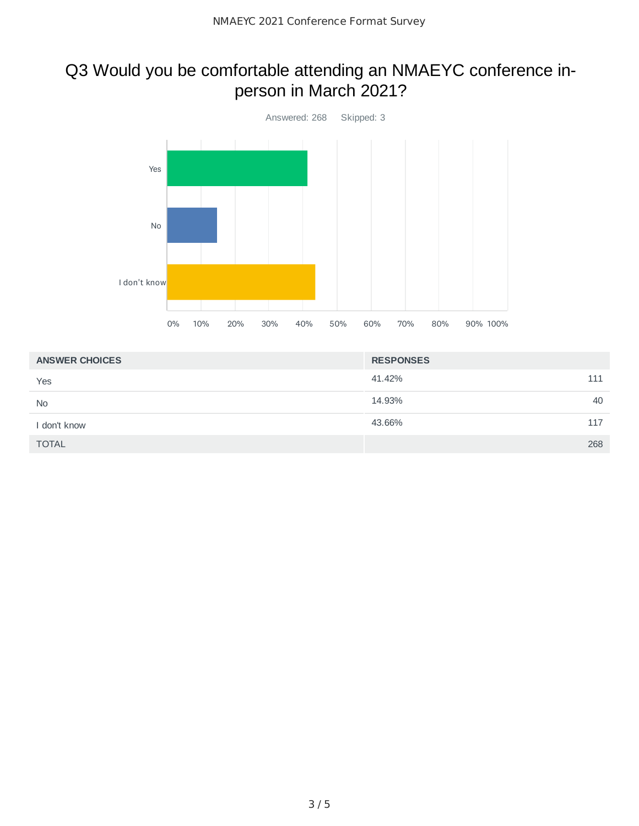# Q3 Would you be comfortable attending an NMAEYC conference inperson in March 2021?



| <b>ANSWER CHOICES</b> | <b>RESPONSES</b> |
|-----------------------|------------------|
| Yes                   | 41.42%<br>111    |
| <b>No</b>             | 40<br>14.93%     |
| I don't know          | 43.66%<br>117    |
| <b>TOTAL</b>          | 268              |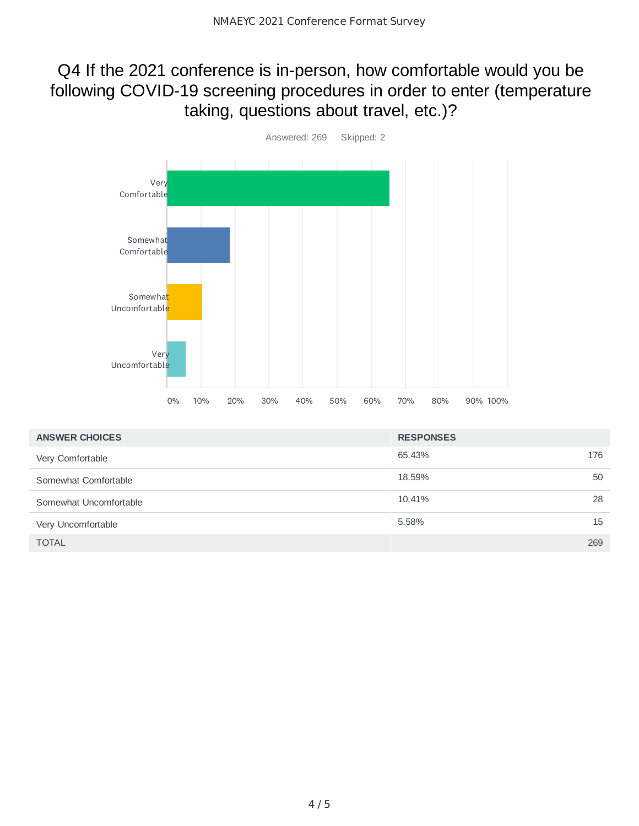### Q4 If the 2021 conference is in-person, how comfortable would you be following COVID-19 screening procedures in order to enter (temperature taking, questions about travel, etc.)?



| <b>ANSWER CHOICES</b>  | <b>RESPONSES</b> |     |
|------------------------|------------------|-----|
| Very Comfortable       | 65.43%           | 176 |
| Somewhat Comfortable   | 18.59%           | 50  |
| Somewhat Uncomfortable | 10.41%           | 28  |
| Very Uncomfortable     | 5.58%            | 15  |
| <b>TOTAL</b>           |                  | 269 |